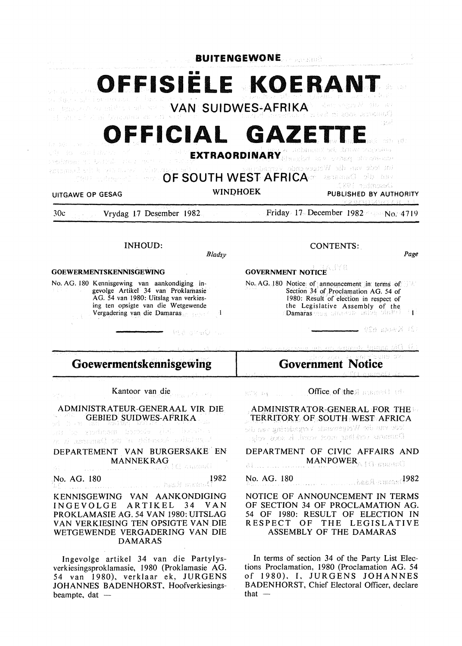|                                                                                                                                                                                                                                                                                                                                                                          | <b>BUITENGEWONE</b> |                                                                                                                                                                                                                                          |
|--------------------------------------------------------------------------------------------------------------------------------------------------------------------------------------------------------------------------------------------------------------------------------------------------------------------------------------------------------------------------|---------------------|------------------------------------------------------------------------------------------------------------------------------------------------------------------------------------------------------------------------------------------|
| stron bol al Soncatav di cutoso                                                                                                                                                                                                                                                                                                                                          |                     | OFFISIELE KOERANT<br>dan sayın Modis olur<br>-trad mi zook untretend<br>-fraf                                                                                                                                                            |
| OFFICIAL GAZETTE<br>WHERE WHICH SERVES<br>stil Barnesin Banda<br>EXTRAORDINARY Streeted in a sering street ener<br>表示的现在<br>tot lede van die Wetzewende Vorgadering<br>$\mathcal{N}(B,AB)$ ) only $\mathcal{L}(\mathbb{R}^d)$<br><b>OF SOUTH WEST AFRICA</b><br>van die Damaras<br>1891 tosmoadi<br><b>WINDHOEK</b><br>PUBLISHED BY AUTHORITY<br><b>UITGAWE OP GESAG</b> |                     |                                                                                                                                                                                                                                          |
| Vrydag 17 Desember 1982<br>30c                                                                                                                                                                                                                                                                                                                                           |                     | rodrustan Lit<br>$\text{Friday} \cdot 17$ December 1982 $\sim$ No. 4719                                                                                                                                                                  |
| <b>INHOUD:</b>                                                                                                                                                                                                                                                                                                                                                           | <b>Bladsy</b>       | <b>CONTENTS:</b><br>Page                                                                                                                                                                                                                 |
| <b>GOEWERMENTSKENNISGEWING</b>                                                                                                                                                                                                                                                                                                                                           |                     | <b>GOVERNMENT NOTICE</b>                                                                                                                                                                                                                 |
| No. AG. 180 Kennisgewing van aankondiging in-<br>gevolge Artikel 34 van Proklamasie<br>AG. 54 van 1980: Uitslag van verkies-<br>ing ten opsigte van die Wetgewende<br>Vergadering van die Damaras                                                                                                                                                                        | 玉括き させらく トル         | No. AG. 180 Notice: of announcement in terms of<br>Section 34 of Proclamation AG. 54 of<br>1980: Result of election in respect of<br>the Legislative Assembly of the<br>Damaras year, and evil information<br>tit Kveta 629 <del>.</del> |
|                                                                                                                                                                                                                                                                                                                                                                          |                     | nnessy levand official                                                                                                                                                                                                                   |
| Goewermentskennisgewing                                                                                                                                                                                                                                                                                                                                                  |                     | Governmen                                                                                                                                                                                                                                |
| Kantoor van die<br>대중에 나타나                                                                                                                                                                                                                                                                                                                                               |                     | ROS as Compact of the Summer of the                                                                                                                                                                                                      |
| ADMINISTRATEUR-GENERAAL VIR DIE<br>GEBIED SUIDWES-AFRIKA<br>yd byr ma seinni serina yr y y<br>sir ta sadnan banda gidi bash i<br>zn zi samana() od "n zidnosok sainsung. J                                                                                                                                                                                               |                     | ADMINISTRATOR-GENERAL FOR THE<br>TERRITORY OF SOUTH WEST AFRICA<br>lede van die Wetgewende Vergadering van die<br>Danmark vok laar meer word, is koos volg-                                                                              |
| DEPARTEMENT VAN BURGERSAKE EN<br>$\textbf{MANNEKRAG} \label{eq:1} \textbf{MANNEKRAG}$ and $\textbf{MANNEKRAG}$                                                                                                                                                                                                                                                           |                     | DEPARTMENT OF CIVIC AFFAIRS AND<br><b>MANPOWER And STREET</b><br>31                                                                                                                                                                      |
| No. AG. 180 1982                                                                                                                                                                                                                                                                                                                                                         |                     | No. AG. 180<br><b>Expansion of the Second 1982</b>                                                                                                                                                                                       |
| KENNISGEWING VAN AANKONDIGING                                                                                                                                                                                                                                                                                                                                            |                     | NOTICE OF ANNOUNCEMENT IN TERMS                                                                                                                                                                                                          |

DAMARAS

beampte, dat  $-$ 

lngevolge artikel 34 van die Partylysverkiesingsproklamasie, 1980 (Proklamasie AG. 54 van 1980), verklaar ek, JURGENS JOHANNES BADENHORST, Hoofverkiesings-

### INGEVOLGE ARTIKEL 34 VAN PROKLAMASIE AG. 54 VAN 1980: UITSLAG VAN VERKIESING TEN OPSIGTE VAN DIE WETGEWENDE VERGADERING VAN DIE NOTICE OF ANNOUNCEMENT IN TERMS OF SECTION 34 OF PROCLAMATION AG. 54 OF 1980: RESULT OF ELECTION IN RESPECT OF THE LEGISLATIVE ASSEMBLY OF THE DAMARAS

In terms of section 34 of the Party List Elections Proclamation, 1980 (Proclamation AG. 54 of 1980), I, JURGENS JOHANNES BADENHORST, Chief Electoral Officer, declare that  $-$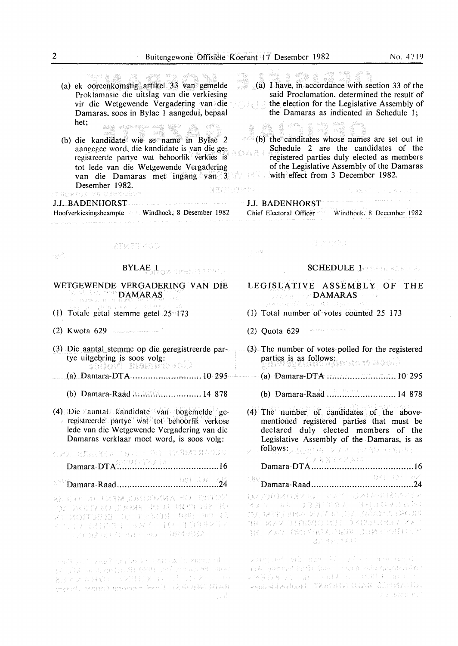(a) ek ooreenkomstig. artikel 33 van gemelde Proklamasie die uitslag van die verkiesing vir die Wetgewende Vergadering van die Damaras. soos in Bylae 1 aangedui, bepaal het; ang signanga mga gina

and a second service and service

(b) die kandidate wie se name in Bylae 2 aangegee word, die kandidate is van die geregistreerde partye wat behoorlik<sup>9</sup> verkies is tot Iede van die Wetgewende Vergadering van die Damaras met ingang van 3 **Desember 1982.**<br>Fernetua ve genedelte **NRONGPT** 

### J.J. BADENHORST

Hoofverkiesingsbeampte Windhoek, 8 Desember 1982 .<br>I La manuella i la componenta del mercano del composto del control del contente del contento del compostere de

said Proclamation, determined the result of the election for the Legislative Assembly of the Damaras as indicated in Schedule 1; n, m ł

. . a m

 $(6)$  the canditates whose names are set out in Schedule 2 are the candidates of the ya R registered parties duly elected as members of the Legislative Assembly of the Damaras with effect from 3 December 1982.

(a) I have. in accordance with section 33 of the

# J.J. BADENHORST

우리권

Chief Electoral Officer Windhoek. 8 December 1982

**REPORTS** 

## CONTENTS

sgo<sup>e</sup>

# $\pmb{\text{BYLAE}}_{\text{intra}}\mathbf{I}_{\text{KCR}}\text{ is the same.}$

### WETGEWENDE VERGADERING VAN DIE  $\otimes$  and  $\otimes$   $\otimes$   $\mathbf{DAMARAS}^0$ .<br>Rođenje Vregovine

- (1) Totale getal stemme getel  $25 \cdot 173$
- (2) K wota 629
- (3) Die aantal stemme op die geregistreerde partye uitgebring is soos volg:
- (a) Damara-DT A ........................... 10 295
	- (b) Damara-Raad ........................... 14 878
- (4) Die aantal kandidate van bogemelde gerc)!istrccrde partye wat tot behoorlik verkose lede van die Wetgewende Vergadering van die Damaras verklaar moet word, is soos volg:

(3)22. 北方:四国已元 「丹月日」 (3)1) (1)4(4)4(1) (4)4(4)4(1) Damara-DTA ........................................ 16

### Damara-Raad ........................................ 24 진직원

ay see ve even limeonna eo toffov ON NGENWYEOGRA do ni noll den do SE OF BRATTELE AF ELECTRONIC<br>STRIP DE STRIP LESSE EN 1988  $\frac{1}{2}$  ,  $\frac{1}{2}$  ,  $\frac{1}{2}$  ,  $\frac{1}{2}$  ,  $\frac{1}{2}$  ,  $\frac{1}{2}$  ,  $\frac{1}{2}$  ,  $\frac{1}{2}$  ,  $\frac{1}{2}$  ,  $\frac{1}{2}$  ,  $\frac{1}{2}$  ,  $\frac{1}{2}$ 

and create of action is of the Party in Plan 12. De acquisits Al OPPI indemnational anni ended, reginal moneyed bold ) (FRSDN-KIASI

### SCHEDULE 1

bakter in the server film

- LEGISLATIVE ASSEMBLY OF THE **DAMARAS**
- (1) Total number of votes counted 25 173
- (2) Quota 629
- (3) The number of votes polled for the registered parties is as follows:
	- (a) Damara-DTA ........................... 10 295
	- (b) Damara-Raad ........................... 14 878
- (4) The number of candidates of the abovementioned registered parties that must be declared duly elected members of the Legislative Assembly of the. Damaras, is as follows: gappen y x x mediate speaker

# Damara-DTA ........................................ 16

Damara-Raad ........................................ 24

DEBRICKONZAZ KAZ DRIWERENCA KKO NE JENTAK GQJOVIDKI DA LETTE EBRE MAV 42 JOAN HÉABA JORDES en van der heer opgedie van de 计定位时 计程序 化电解石 人名英格兰人姓氏 化苯丙二醇 22 821420

writering all may the brings operation - Anglick College (2011)<br>- AA department (2011) operationspeake in t<br>- 22 3 D X J U - M - and it computed to any of Semsiming 1774019 NATORA nste liefen for